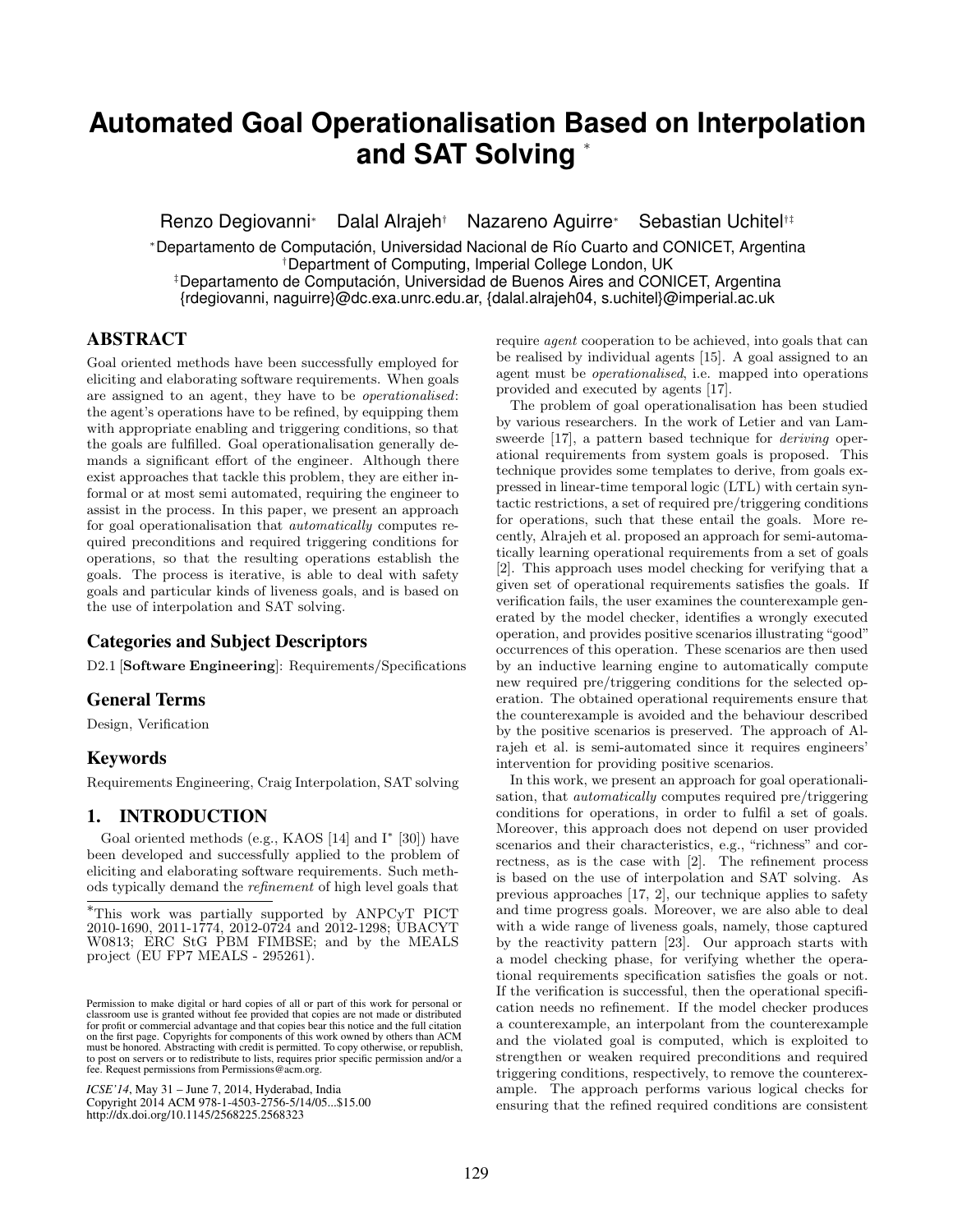# **Automated Goal Operationalisation Based on Interpolation and SAT Solving** <sup>∗</sup>

Renzo Degiovanni<sup>∗</sup> Dalal Alrajeh† Nazareno Aguirre<sup>∗</sup> Sebastian Uchitel†‡

<sup>∗</sup>Departamento de Computación, Universidad Nacional de Río Cuarto and CONICET, Argentina †Department of Computing, Imperial College London, UK ‡Departamento de Computación, Universidad de Buenos Aires and CONICET, Argentina

{rdegiovanni, naguirre}@dc.exa.unrc.edu.ar, {dalal.alrajeh04, s.uchitel}@imperial.ac.uk

# ABSTRACT

Goal oriented methods have been successfully employed for eliciting and elaborating software requirements. When goals are assigned to an agent, they have to be operationalised: the agent's operations have to be refined, by equipping them with appropriate enabling and triggering conditions, so that the goals are fulfilled. Goal operationalisation generally demands a significant effort of the engineer. Although there exist approaches that tackle this problem, they are either informal or at most semi automated, requiring the engineer to assist in the process. In this paper, we present an approach for goal operationalisation that automatically computes required preconditions and required triggering conditions for operations, so that the resulting operations establish the goals. The process is iterative, is able to deal with safety goals and particular kinds of liveness goals, and is based on the use of interpolation and SAT solving.

## Categories and Subject Descriptors

D2.1 [Software Engineering]: Requirements/Specifications

# General Terms

Design, Verification

# Keywords

Requirements Engineering, Craig Interpolation, SAT solving

# 1. INTRODUCTION

Goal oriented methods (e.g., KAOS [14] and I<sup>∗</sup> [30]) have been developed and successfully applied to the problem of eliciting and elaborating software requirements. Such methods typically demand the refinement of high level goals that

ICSE'14, May 31 – June 7, 2014, Hyderabad, India Copyright 2014 ACM 978-1-4503-2756-5/14/05...\$15.00 http://dx.doi.org/10.1145/2568225.2568323

require agent cooperation to be achieved, into goals that can be realised by individual agents [15]. A goal assigned to an agent must be operationalised, i.e. mapped into operations provided and executed by agents [17].

The problem of goal operationalisation has been studied by various researchers. In the work of Letier and van Lamsweerde [17], a pattern based technique for deriving operational requirements from system goals is proposed. This technique provides some templates to derive, from goals expressed in linear-time temporal logic (LTL) with certain syntactic restrictions, a set of required pre/triggering conditions for operations, such that these entail the goals. More recently, Alrajeh et al. proposed an approach for semi-automatically learning operational requirements from a set of goals [2]. This approach uses model checking for verifying that a given set of operational requirements satisfies the goals. If verification fails, the user examines the counterexample generated by the model checker, identifies a wrongly executed operation, and provides positive scenarios illustrating "good" occurrences of this operation. These scenarios are then used by an inductive learning engine to automatically compute new required pre/triggering conditions for the selected operation. The obtained operational requirements ensure that the counterexample is avoided and the behaviour described by the positive scenarios is preserved. The approach of Alrajeh et al. is semi-automated since it requires engineers' intervention for providing positive scenarios.

In this work, we present an approach for goal operationalisation, that automatically computes required pre/triggering conditions for operations, in order to fulfil a set of goals. Moreover, this approach does not depend on user provided scenarios and their characteristics, e.g., "richness" and correctness, as is the case with [2]. The refinement process is based on the use of interpolation and SAT solving. As previous approaches [17, 2], our technique applies to safety and time progress goals. Moreover, we are also able to deal with a wide range of liveness goals, namely, those captured by the reactivity pattern [23]. Our approach starts with a model checking phase, for verifying whether the operational requirements specification satisfies the goals or not. If the verification is successful, then the operational specification needs no refinement. If the model checker produces a counterexample, an interpolant from the counterexample and the violated goal is computed, which is exploited to strengthen or weaken required preconditions and required triggering conditions, respectively, to remove the counterexample. The approach performs various logical checks for ensuring that the refined required conditions are consistent

<sup>∗</sup>This work was partially supported by ANPCyT PICT 2010-1690, 2011-1774, 2012-0724 and 2012-1298; UBACYT W0813; ERC StG PBM FIMBSE; and by the MEALS project (EU FP7 MEALS - 295261).

classroom use is granted without fee provided that copies are not made or distributed<br>for an fit to communical advantage and that copies has this patient and the full distinct for profit or commercial advantage and that copies bear this notice and the furt chattor<br>on the first page. Convirights for components of this work owned by others than ACM on the first page. Copyrights for components of this work owned by others than ACM<br>must be honored. Abstracting with credit is permitted. To copy otherwise, or republish, to post on servers or to redistribute to lists, requires prior specific permission and/or a fee. Request permissions from Permissions@acm.org. Permission to make digital or hard copies of all or part of this work for personal or for profit or commercial advantage and that copies bear this notice and the full citation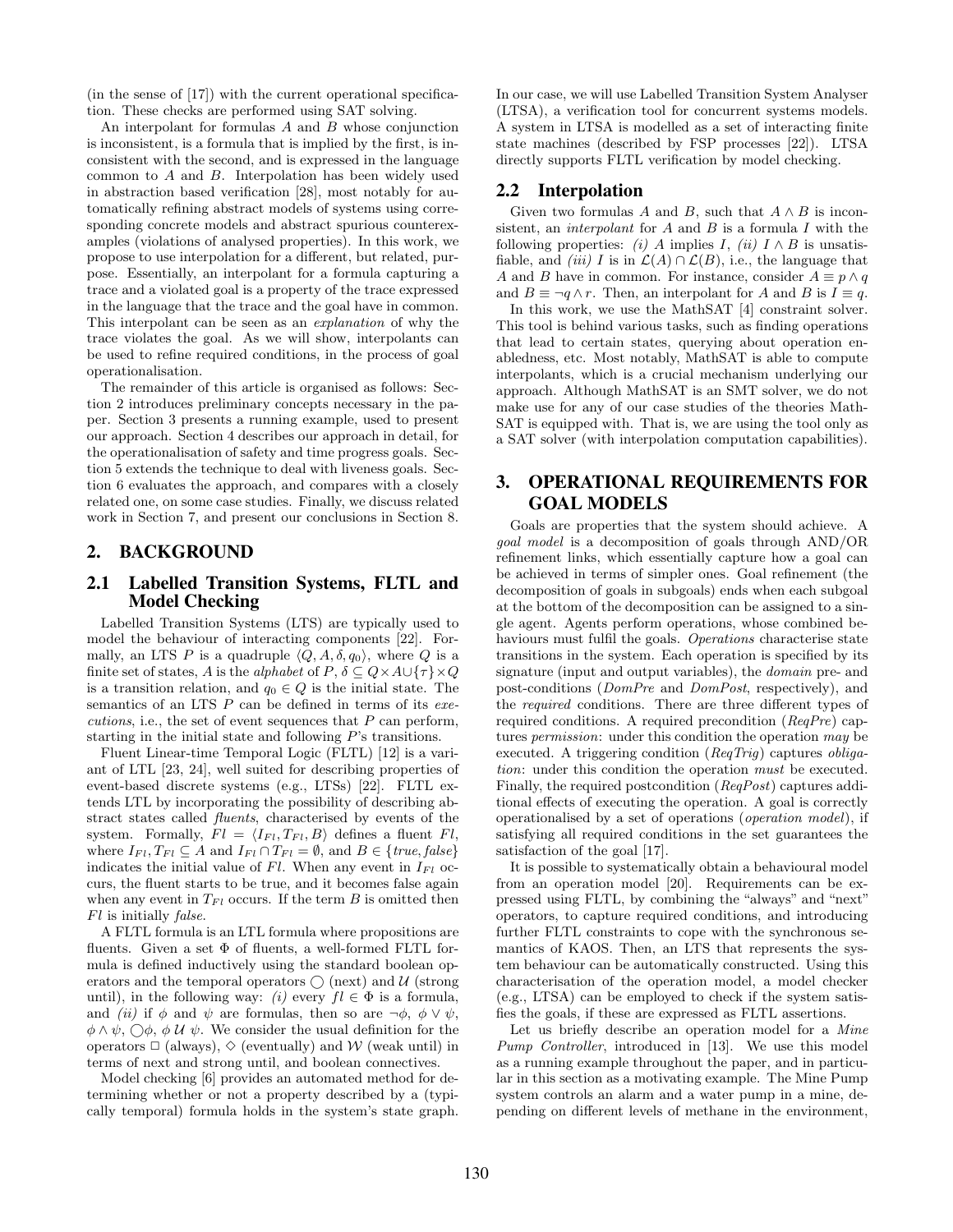(in the sense of [17]) with the current operational specification. These checks are performed using SAT solving.

An interpolant for formulas  $A$  and  $B$  whose conjunction is inconsistent, is a formula that is implied by the first, is inconsistent with the second, and is expressed in the language common to A and B. Interpolation has been widely used in abstraction based verification [28], most notably for automatically refining abstract models of systems using corresponding concrete models and abstract spurious counterexamples (violations of analysed properties). In this work, we propose to use interpolation for a different, but related, purpose. Essentially, an interpolant for a formula capturing a trace and a violated goal is a property of the trace expressed in the language that the trace and the goal have in common. This interpolant can be seen as an explanation of why the trace violates the goal. As we will show, interpolants can be used to refine required conditions, in the process of goal operationalisation.

The remainder of this article is organised as follows: Section 2 introduces preliminary concepts necessary in the paper. Section 3 presents a running example, used to present our approach. Section 4 describes our approach in detail, for the operationalisation of safety and time progress goals. Section 5 extends the technique to deal with liveness goals. Section 6 evaluates the approach, and compares with a closely related one, on some case studies. Finally, we discuss related work in Section 7, and present our conclusions in Section 8.

# 2. BACKGROUND

# 2.1 Labelled Transition Systems, FLTL and Model Checking

Labelled Transition Systems (LTS) are typically used to model the behaviour of interacting components [22]. Formally, an LTS P is a quadruple  $\langle Q, A, \delta, q_0 \rangle$ , where Q is a finite set of states, A is the alphabet of  $P, \delta \subseteq Q \times A \cup \{\tau\} \times Q$ is a transition relation, and  $q_0 \in Q$  is the initial state. The semantics of an LTS P can be defined in terms of its executions, i.e., the set of event sequences that P can perform, starting in the initial state and following P's transitions.

Fluent Linear-time Temporal Logic (FLTL) [12] is a variant of LTL [23, 24], well suited for describing properties of event-based discrete systems (e.g., LTSs) [22]. FLTL extends LTL by incorporating the possibility of describing abstract states called fluents, characterised by events of the system. Formally,  $Fl = \langle I_{Fl}, T_{Fl}, B \rangle$  defines a fluent Fl, where  $I_{Fl}$ ,  $T_{Fl} \subseteq A$  and  $I_{Fl} \cap T_{Fl} = \emptyset$ , and  $B \in \{true, false\}$ indicates the initial value of Fl. When any event in  $I_{FI}$  occurs, the fluent starts to be true, and it becomes false again when any event in  $T_{Fl}$  occurs. If the term  $B$  is omitted then  $Fl$  is initially *false*.

A FLTL formula is an LTL formula where propositions are fluents. Given a set  $\Phi$  of fluents, a well-formed FLTL formula is defined inductively using the standard boolean operators and the temporal operators  $\bigcap$  (next) and U (strong until), in the following way: (i) every  $fl \in \Phi$  is a formula, and *(ii)* if  $\phi$  and  $\psi$  are formulas, then so are  $\neg \phi$ ,  $\phi \vee \psi$ ,  $\phi \wedge \psi$ ,  $\bigcirc \phi$ ,  $\phi \mathcal{U} \psi$ . We consider the usual definition for the operators  $\Box$  (always),  $\diamond$  (eventually) and W (weak until) in terms of next and strong until, and boolean connectives.

Model checking [6] provides an automated method for determining whether or not a property described by a (typically temporal) formula holds in the system's state graph. In our case, we will use Labelled Transition System Analyser (LTSA), a verification tool for concurrent systems models. A system in LTSA is modelled as a set of interacting finite state machines (described by FSP processes [22]). LTSA directly supports FLTL verification by model checking.

# 2.2 Interpolation

Given two formulas A and B, such that  $A \wedge B$  is inconsistent, an *interpolant* for  $A$  and  $B$  is a formula  $I$  with the following properties: (i) A implies I, (ii)  $I \wedge B$  is unsatisfiable, and *(iii)* I is in  $\mathcal{L}(A) \cap \mathcal{L}(B)$ , i.e., the language that A and B have in common. For instance, consider  $A \equiv p \wedge q$ and  $B \equiv \neg q \wedge r$ . Then, an interpolant for A and B is  $I \equiv q$ .

In this work, we use the MathSAT [4] constraint solver. This tool is behind various tasks, such as finding operations that lead to certain states, querying about operation enabledness, etc. Most notably, MathSAT is able to compute interpolants, which is a crucial mechanism underlying our approach. Although MathSAT is an SMT solver, we do not make use for any of our case studies of the theories Math-SAT is equipped with. That is, we are using the tool only as a SAT solver (with interpolation computation capabilities).

# 3. OPERATIONAL REQUIREMENTS FOR GOAL MODELS

Goals are properties that the system should achieve. A goal model is a decomposition of goals through AND/OR refinement links, which essentially capture how a goal can be achieved in terms of simpler ones. Goal refinement (the decomposition of goals in subgoals) ends when each subgoal at the bottom of the decomposition can be assigned to a single agent. Agents perform operations, whose combined behaviours must fulfil the goals. Operations characterise state transitions in the system. Each operation is specified by its signature (input and output variables), the domain pre- and post-conditions (DomPre and DomPost, respectively), and the required conditions. There are three different types of required conditions. A required precondition ( $ReqPre$ ) captures permission: under this condition the operation may be executed. A triggering condition (ReqTrig) captures obligation: under this condition the operation must be executed. Finally, the required postcondition (ReqPost) captures additional effects of executing the operation. A goal is correctly operationalised by a set of operations (operation model), if satisfying all required conditions in the set guarantees the satisfaction of the goal [17].

It is possible to systematically obtain a behavioural model from an operation model [20]. Requirements can be expressed using FLTL, by combining the "always" and "next" operators, to capture required conditions, and introducing further FLTL constraints to cope with the synchronous semantics of KAOS. Then, an LTS that represents the system behaviour can be automatically constructed. Using this characterisation of the operation model, a model checker (e.g., LTSA) can be employed to check if the system satisfies the goals, if these are expressed as FLTL assertions.

Let us briefly describe an operation model for a Mine Pump Controller, introduced in [13]. We use this model as a running example throughout the paper, and in particular in this section as a motivating example. The Mine Pump system controls an alarm and a water pump in a mine, depending on different levels of methane in the environment,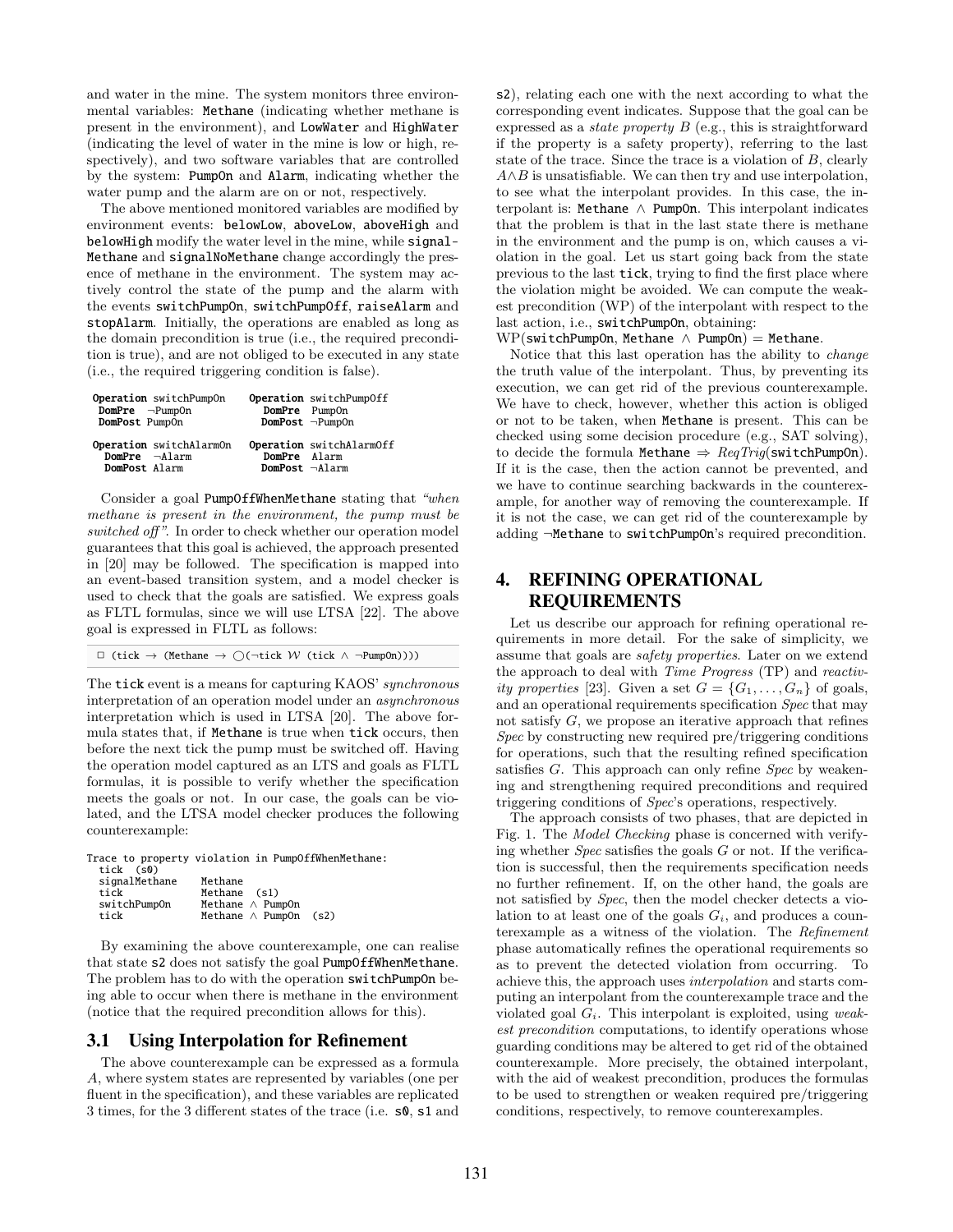and water in the mine. The system monitors three environmental variables: Methane (indicating whether methane is present in the environment), and LowWater and HighWater (indicating the level of water in the mine is low or high, respectively), and two software variables that are controlled by the system: PumpOn and Alarm, indicating whether the water pump and the alarm are on or not, respectively.

The above mentioned monitored variables are modified by environment events: belowLow, aboveLow, aboveHigh and belowHigh modify the water level in the mine, while signal-Methane and signalNoMethane change accordingly the presence of methane in the environment. The system may actively control the state of the pump and the alarm with the events switchPumpOn, switchPumpOff, raiseAlarm and stopAlarm. Initially, the operations are enabled as long as the domain precondition is true (i.e., the required precondition is true), and are not obliged to be executed in any state (i.e., the required triggering condition is false).

| Operation switchPumpOn  | Operation switchPumpOff  |
|-------------------------|--------------------------|
| $DomPre$ $\neg PumpOn$  | DomPre PumpOn            |
| DomPost PumpOn          | DomPost -PumpOn          |
| Operation switchAlarmOn | Operation switchAlarmOff |
| $DomPre -Alarm$         | DomPre Alarm             |
| DomPost Alarm           | DomPost -Alarm           |

Consider a goal PumpOffWhenMethane stating that "when methane is present in the environment, the pump must be switched off". In order to check whether our operation model guarantees that this goal is achieved, the approach presented in [20] may be followed. The specification is mapped into an event-based transition system, and a model checker is used to check that the goals are satisfied. We express goals as FLTL formulas, since we will use LTSA [22]. The above goal is expressed in FLTL as follows:

 $\Box$  (tick  $\rightarrow$  (Methane  $\rightarrow$  )( $\neg$ tick W (tick  $\land \neg$ PumpOn))))

The tick event is a means for capturing KAOS' synchronous interpretation of an operation model under an asynchronous interpretation which is used in LTSA [20]. The above formula states that, if Methane is true when tick occurs, then before the next tick the pump must be switched off. Having the operation model captured as an LTS and goals as FLTL formulas, it is possible to verify whether the specification meets the goals or not. In our case, the goals can be violated, and the LTSA model checker produces the following counterexample:

Trace to property violation in PumpOffWhenMethane: tick (s0)

| Methane |                                                                   |
|---------|-------------------------------------------------------------------|
|         |                                                                   |
|         |                                                                   |
|         | (s2)                                                              |
|         | Methane (s1)<br>Methane $\land$ PumpOn<br>Methane $\wedge$ PumpOn |

By examining the above counterexample, one can realise that state s2 does not satisfy the goal PumpOffWhenMethane. The problem has to do with the operation switchPumpOn being able to occur when there is methane in the environment (notice that the required precondition allows for this).

#### 3.1 Using Interpolation for Refinement

The above counterexample can be expressed as a formula A, where system states are represented by variables (one per fluent in the specification), and these variables are replicated 3 times, for the 3 different states of the trace (i.e. s0, s1 and s2), relating each one with the next according to what the corresponding event indicates. Suppose that the goal can be expressed as a *state property B* (e.g., this is straightforward if the property is a safety property), referring to the last state of the trace. Since the trace is a violation of B, clearly  $A \wedge B$  is unsatisfiable. We can then try and use interpolation, to see what the interpolant provides. In this case, the interpolant is: Methane ∧ PumpOn. This interpolant indicates that the problem is that in the last state there is methane in the environment and the pump is on, which causes a violation in the goal. Let us start going back from the state previous to the last tick, trying to find the first place where the violation might be avoided. We can compute the weakest precondition (WP) of the interpolant with respect to the last action, i.e., switchPumpOn, obtaining:

WP(switchPumpOn, Methane  $\land$  PumpOn) = Methane.

Notice that this last operation has the ability to change the truth value of the interpolant. Thus, by preventing its execution, we can get rid of the previous counterexample. We have to check, however, whether this action is obliged or not to be taken, when Methane is present. This can be checked using some decision procedure (e.g., SAT solving), to decide the formula Methane  $\Rightarrow$   $\text{Re}q\text{Tr}q(\text{switchPumpOn}).$ If it is the case, then the action cannot be prevented, and we have to continue searching backwards in the counterexample, for another way of removing the counterexample. If it is not the case, we can get rid of the counterexample by adding ¬Methane to switchPumpOn's required precondition.

# 4. REFINING OPERATIONAL REQUIREMENTS

Let us describe our approach for refining operational requirements in more detail. For the sake of simplicity, we assume that goals are safety properties. Later on we extend the approach to deal with Time Progress (TP) and reactivity properties [23]. Given a set  $G = \{G_1, \ldots, G_n\}$  of goals, and an operational requirements specification Spec that may not satisfy G, we propose an iterative approach that refines Spec by constructing new required pre/triggering conditions for operations, such that the resulting refined specification satisfies G. This approach can only refine Spec by weakening and strengthening required preconditions and required triggering conditions of Spec's operations, respectively.

The approach consists of two phases, that are depicted in Fig. 1. The Model Checking phase is concerned with verifying whether *Spec* satisfies the goals  $G$  or not. If the verification is successful, then the requirements specification needs no further refinement. If, on the other hand, the goals are not satisfied by Spec, then the model checker detects a violation to at least one of the goals  $G_i$ , and produces a counterexample as a witness of the violation. The Refinement phase automatically refines the operational requirements so as to prevent the detected violation from occurring. To achieve this, the approach uses interpolation and starts computing an interpolant from the counterexample trace and the violated goal  $G_i$ . This interpolant is exploited, using weakest precondition computations, to identify operations whose guarding conditions may be altered to get rid of the obtained counterexample. More precisely, the obtained interpolant, with the aid of weakest precondition, produces the formulas to be used to strengthen or weaken required pre/triggering conditions, respectively, to remove counterexamples.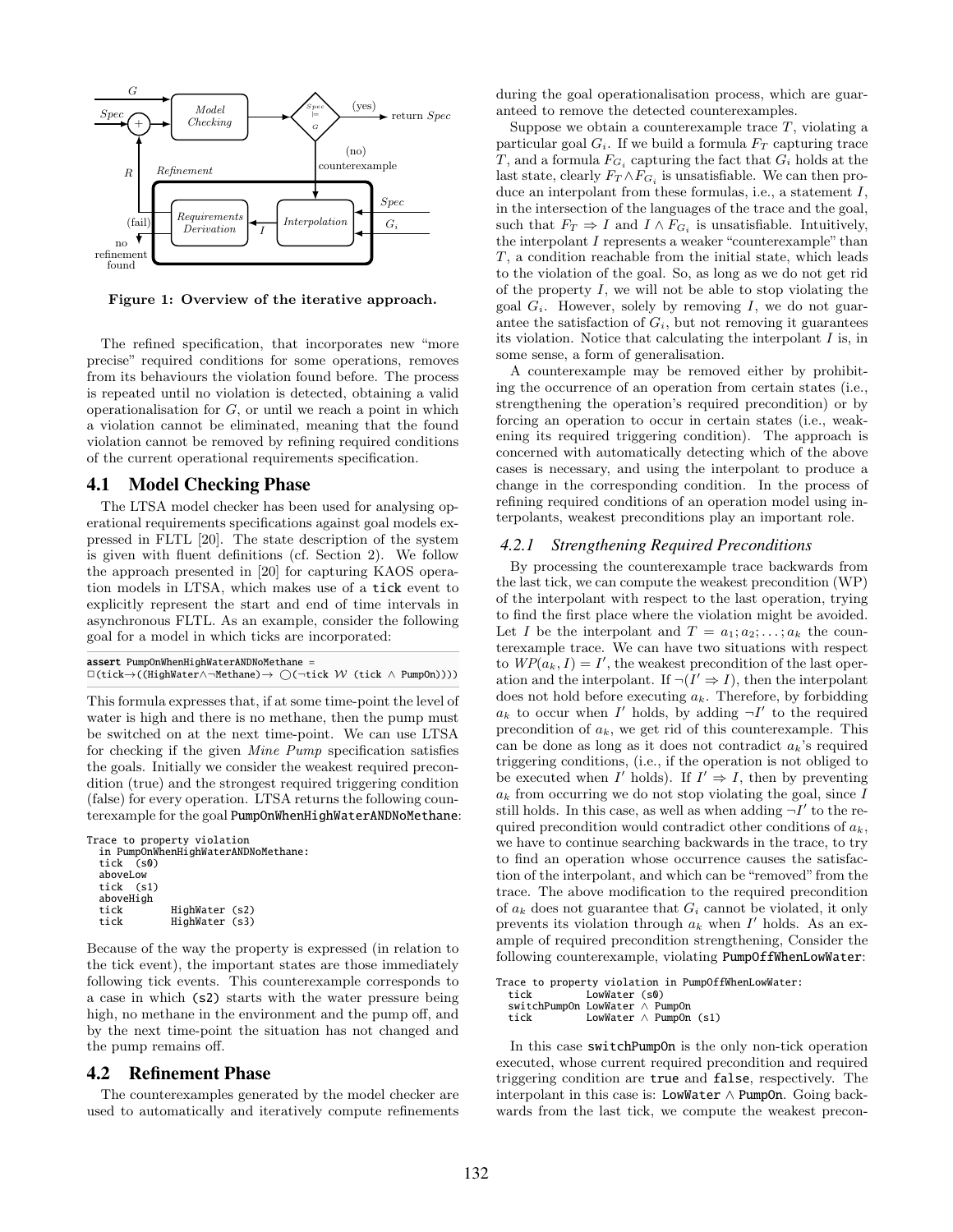

Figure 1: Overview of the iterative approach.

The refined specification, that incorporates new "more precise" required conditions for some operations, removes from its behaviours the violation found before. The process is repeated until no violation is detected, obtaining a valid operationalisation for  $G$ , or until we reach a point in which a violation cannot be eliminated, meaning that the found violation cannot be removed by refining required conditions of the current operational requirements specification.

### 4.1 Model Checking Phase

The LTSA model checker has been used for analysing operational requirements specifications against goal models expressed in FLTL [20]. The state description of the system is given with fluent definitions (cf. Section 2). We follow the approach presented in [20] for capturing KAOS operation models in LTSA, which makes use of a tick event to explicitly represent the start and end of time intervals in asynchronous FLTL. As an example, consider the following goal for a model in which ticks are incorporated:

| assert PumpOnWhenHighWaterANDNoMethane =                                                                                         |  |  |
|----------------------------------------------------------------------------------------------------------------------------------|--|--|
| $\Box$ (tick $\rightarrow$ (HighWater $\land \neg$ Methane) $\rightarrow \bigcap$ ( $\neg$ tick $\land$ (tick $\land$ PumpOn)))) |  |  |

This formula expresses that, if at some time-point the level of water is high and there is no methane, then the pump must be switched on at the next time-point. We can use LTSA for checking if the given Mine Pump specification satisfies the goals. Initially we consider the weakest required precondition (true) and the strongest required triggering condition (false) for every operation. LTSA returns the following counterexample for the goal PumpOnWhenHighWaterANDNoMethane:

```
Trace to property violation
  in PumpOnWhenHighWaterANDNoMethane:
  tick (s0)
  aboveLow
  tick (s1)
  aboveHigh
  tick HighWater (s2)<br>tick HighWater (s3)
               HighWater (s3)
```
Because of the way the property is expressed (in relation to the tick event), the important states are those immediately following tick events. This counterexample corresponds to a case in which (s2) starts with the water pressure being high, no methane in the environment and the pump off, and by the next time-point the situation has not changed and the pump remains off.

#### 4.2 Refinement Phase

The counterexamples generated by the model checker are used to automatically and iteratively compute refinements

during the goal operationalisation process, which are guaranteed to remove the detected counterexamples.

Suppose we obtain a counterexample trace  $T$ , violating a particular goal  $G_i$ . If we build a formula  $F_T$  capturing trace T, and a formula  $F_{G_i}$  capturing the fact that  $G_i$  holds at the last state, clearly  $F_T \wedge F_{G_i}$  is unsatisfiable. We can then produce an interpolant from these formulas, i.e., a statement I, in the intersection of the languages of the trace and the goal, such that  $F_T \Rightarrow I$  and  $I \wedge F_{G_i}$  is unsatisfiable. Intuitively, the interpolant I represents a weaker "counterexample" than T, a condition reachable from the initial state, which leads to the violation of the goal. So, as long as we do not get rid of the property  $I$ , we will not be able to stop violating the goal  $G_i$ . However, solely by removing I, we do not guarantee the satisfaction of  $G_i$ , but not removing it guarantees its violation. Notice that calculating the interpolant I is, in some sense, a form of generalisation.

A counterexample may be removed either by prohibiting the occurrence of an operation from certain states (i.e., strengthening the operation's required precondition) or by forcing an operation to occur in certain states (i.e., weakening its required triggering condition). The approach is concerned with automatically detecting which of the above cases is necessary, and using the interpolant to produce a change in the corresponding condition. In the process of refining required conditions of an operation model using interpolants, weakest preconditions play an important role.

#### *4.2.1 Strengthening Required Preconditions*

By processing the counterexample trace backwards from the last tick, we can compute the weakest precondition (WP) of the interpolant with respect to the last operation, trying to find the first place where the violation might be avoided. Let I be the interpolant and  $T = a_1; a_2; \ldots; a_k$  the counterexample trace. We can have two situations with respect to  $WP(a_k, I) = I'$ , the weakest precondition of the last operation and the interpolant. If  $\neg(I' \Rightarrow I)$ , then the interpolant does not hold before executing  $a_k$ . Therefore, by forbidding  $a_k$  to occur when I' holds, by adding  $\neg I'$  to the required precondition of  $a_k$ , we get rid of this counterexample. This can be done as long as it does not contradict  $a_k$ 's required triggering conditions, (i.e., if the operation is not obliged to be executed when  $I'$  holds). If  $I' \Rightarrow I$ , then by preventing  $a_k$  from occurring we do not stop violating the goal, since I still holds. In this case, as well as when adding  $\neg I'$  to the required precondition would contradict other conditions of  $a_k$ , we have to continue searching backwards in the trace, to try to find an operation whose occurrence causes the satisfaction of the interpolant, and which can be "removed" from the trace. The above modification to the required precondition of  $a_k$  does not guarantee that  $G_i$  cannot be violated, it only prevents its violation through  $a_k$  when  $I'$  holds. As an example of required precondition strengthening, Consider the following counterexample, violating PumpOffWhenLowWater:

```
Trace to property violation in PumpOffWhenLowWater:<br>tick LowWater (s0)
                     LowWater (s0)
   switchPumpOn LowWater ∧ PumpOn<br>tick LowWater ∧ PumpOn
                     LowWater ∧ PumpOn (s1)
```
In this case switchPumpOn is the only non-tick operation executed, whose current required precondition and required triggering condition are true and false, respectively. The interpolant in this case is: LowWater  $\land$  PumpOn. Going backwards from the last tick, we compute the weakest precon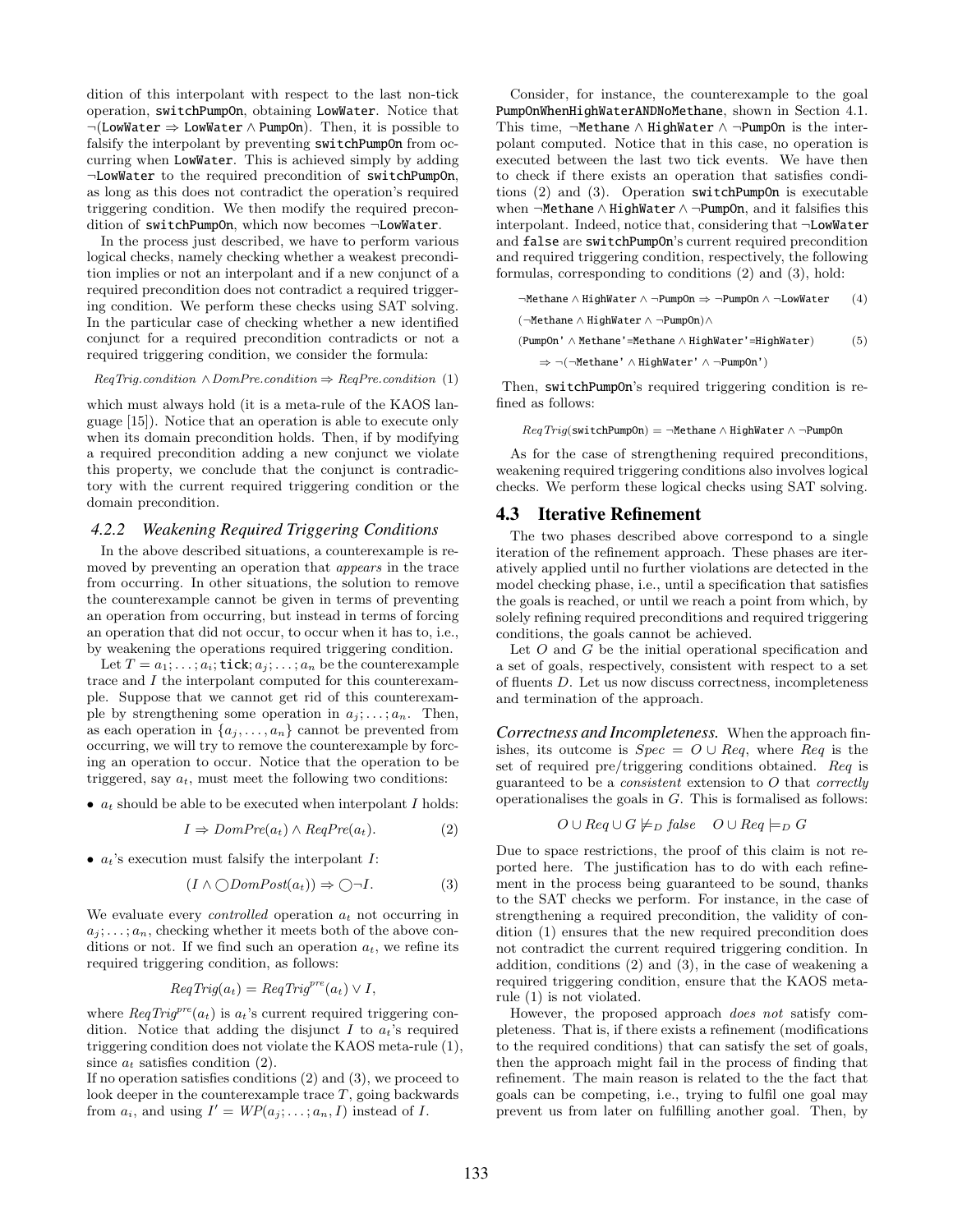dition of this interpolant with respect to the last non-tick operation, switchPumpOn, obtaining LowWater. Notice that ¬(LowWater ⇒ LowWater ∧ PumpOn). Then, it is possible to falsify the interpolant by preventing switchPumpOn from occurring when LowWater. This is achieved simply by adding ¬LowWater to the required precondition of switchPumpOn, as long as this does not contradict the operation's required triggering condition. We then modify the required precondition of switchPumpOn, which now becomes ¬LowWater.

In the process just described, we have to perform various logical checks, namely checking whether a weakest precondition implies or not an interpolant and if a new conjunct of a required precondition does not contradict a required triggering condition. We perform these checks using SAT solving. In the particular case of checking whether a new identified conjunct for a required precondition contradicts or not a required triggering condition, we consider the formula:

$$
ReqTrig. condition \land DomPre. condition \Rightarrow ReqPre. condition (1)
$$

which must always hold (it is a meta-rule of the KAOS language [15]). Notice that an operation is able to execute only when its domain precondition holds. Then, if by modifying a required precondition adding a new conjunct we violate this property, we conclude that the conjunct is contradictory with the current required triggering condition or the domain precondition.

#### *4.2.2 Weakening Required Triggering Conditions*

In the above described situations, a counterexample is removed by preventing an operation that appears in the trace from occurring. In other situations, the solution to remove the counterexample cannot be given in terms of preventing an operation from occurring, but instead in terms of forcing an operation that did not occur, to occur when it has to, i.e., by weakening the operations required triggering condition.

Let  $T = a_1; \ldots; a_i;$  tick;  $a_j; \ldots; a_n$  be the counterexample trace and I the interpolant computed for this counterexample. Suppose that we cannot get rid of this counterexample by strengthening some operation in  $a_i$ ; ...;  $a_n$ . Then, as each operation in  $\{a_j, \ldots, a_n\}$  cannot be prevented from occurring, we will try to remove the counterexample by forcing an operation to occur. Notice that the operation to be triggered, say  $a_t$ , must meet the following two conditions:

•  $a_t$  should be able to be executed when interpolant I holds:

$$
I \Rightarrow DomPre(a_t) \land RegPre(a_t). \tag{2}
$$

•  $a_t$ 's execution must falsify the interpolant  $I$ :

$$
(I \land \bigcirc DomPost(a_t)) \Rightarrow \bigcirc \neg I. \tag{3}
$$

We evaluate every *controlled* operation  $a_t$  not occurring in  $a_j; \ldots; a_n$ , checking whether it meets both of the above conditions or not. If we find such an operation  $a_t$ , we refine its required triggering condition, as follows:

$$
RegTrig(a_t) = RegTrig^{pre}(a_t) \vee I,
$$

where  $\text{RegTri}^{pre}(a_t)$  is  $a_t$ 's current required triggering condition. Notice that adding the disjunct I to  $a_t$ 's required triggering condition does not violate the KAOS meta-rule (1), since  $a_t$  satisfies condition (2).

If no operation satisfies conditions (2) and (3), we proceed to look deeper in the counterexample trace  $T$ , going backwards from  $a_i$ , and using  $I' = \text{WP}(a_j; \ldots; a_n, I)$  instead of I.

Consider, for instance, the counterexample to the goal PumpOnWhenHighWaterANDNoMethane, shown in Section 4.1. This time, ¬Methane ∧ HighWater ∧ ¬PumpOn is the interpolant computed. Notice that in this case, no operation is executed between the last two tick events. We have then to check if there exists an operation that satisfies conditions (2) and (3). Operation switchPumpOn is executable when ¬Methane ∧ HighWater ∧ ¬PumpOn, and it falsifies this interpolant. Indeed, notice that, considering that ¬LowWater and false are switchPumpOn's current required precondition and required triggering condition, respectively, the following formulas, corresponding to conditions (2) and (3), hold:

$$
\neg \mathtt{Method}\land \mathtt{HighWater}\land \neg \mathtt{PumpOn} \Rightarrow \neg \mathtt{PumpOn}\land \neg \mathtt{LowWater} \qquad (4)
$$

(¬Methane ∧ HighWater ∧ ¬PumpOn)∧

(PumpOn' ∧ Methane'=Methane ∧ HighWater'=HighWater) (5)

⇒ ¬(¬Methane' ∧ HighWater' ∧ ¬PumpOn')

Then, switchPumpOn's required triggering condition is refined as follows:

 $RegTrig(\text{switchPumpOn}) = \neg \text{Method} \land \text{HighWater} \land \neg \text{PumpOn}$ 

As for the case of strengthening required preconditions, weakening required triggering conditions also involves logical checks. We perform these logical checks using SAT solving.

### 4.3 Iterative Refinement

The two phases described above correspond to a single iteration of the refinement approach. These phases are iteratively applied until no further violations are detected in the model checking phase, i.e., until a specification that satisfies the goals is reached, or until we reach a point from which, by solely refining required preconditions and required triggering conditions, the goals cannot be achieved.

Let  $O$  and  $G$  be the initial operational specification and a set of goals, respectively, consistent with respect to a set of fluents D. Let us now discuss correctness, incompleteness and termination of the approach.

*Correctness and Incompleteness.* When the approach finishes, its outcome is  $Spec = O \cup Reg$ , where Req is the set of required pre/triggering conditions obtained. Req is guaranteed to be a *consistent* extension to  $O$  that *correctly* operationalises the goals in G. This is formalised as follows:

$$
O \cup \text{Re}q \cup G \not\models_D \text{false} \quad O \cup \text{Re}q \models_D G
$$

Due to space restrictions, the proof of this claim is not reported here. The justification has to do with each refinement in the process being guaranteed to be sound, thanks to the SAT checks we perform. For instance, in the case of strengthening a required precondition, the validity of condition (1) ensures that the new required precondition does not contradict the current required triggering condition. In addition, conditions (2) and (3), in the case of weakening a required triggering condition, ensure that the KAOS metarule (1) is not violated.

However, the proposed approach does not satisfy completeness. That is, if there exists a refinement (modifications to the required conditions) that can satisfy the set of goals, then the approach might fail in the process of finding that refinement. The main reason is related to the the fact that goals can be competing, i.e., trying to fulfil one goal may prevent us from later on fulfilling another goal. Then, by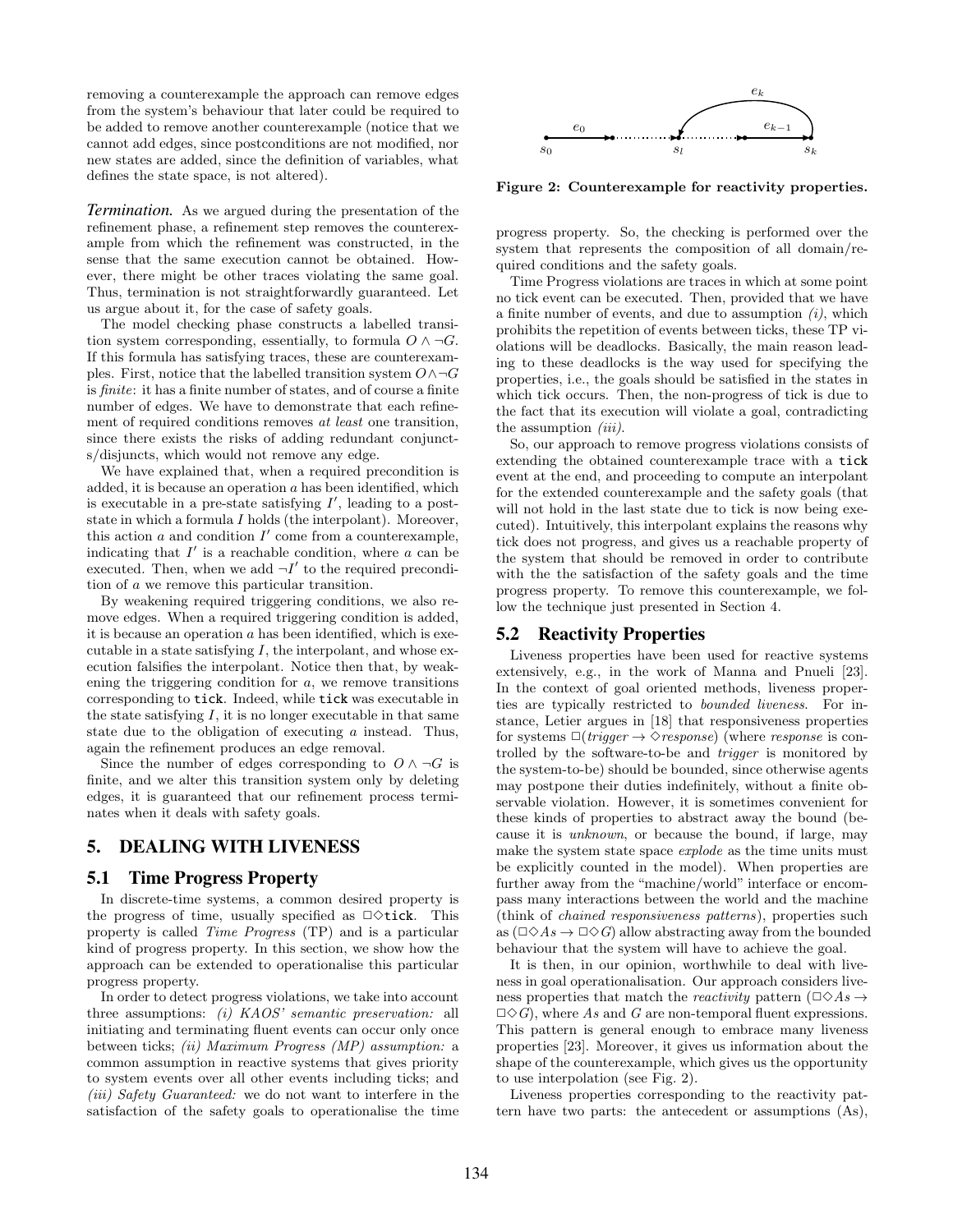removing a counterexample the approach can remove edges from the system's behaviour that later could be required to be added to remove another counterexample (notice that we cannot add edges, since postconditions are not modified, nor new states are added, since the definition of variables, what defines the state space, is not altered).

*Termination.* As we argued during the presentation of the refinement phase, a refinement step removes the counterexample from which the refinement was constructed, in the sense that the same execution cannot be obtained. However, there might be other traces violating the same goal. Thus, termination is not straightforwardly guaranteed. Let us argue about it, for the case of safety goals.

The model checking phase constructs a labelled transition system corresponding, essentially, to formula  $O \land \neg G$ . If this formula has satisfying traces, these are counterexamples. First, notice that the labelled transition system  $O \land \neg G$ is finite: it has a finite number of states, and of course a finite number of edges. We have to demonstrate that each refinement of required conditions removes at least one transition, since there exists the risks of adding redundant conjuncts/disjuncts, which would not remove any edge.

We have explained that, when a required precondition is added, it is because an operation a has been identified, which is executable in a pre-state satisfying  $I'$ , leading to a poststate in which a formula I holds (the interpolant). Moreover, this action  $a$  and condition  $I'$  come from a counterexample, indicating that  $I'$  is a reachable condition, where  $a$  can be executed. Then, when we add  $\neg I'$  to the required precondition of a we remove this particular transition.

By weakening required triggering conditions, we also remove edges. When a required triggering condition is added, it is because an operation  $a$  has been identified, which is executable in a state satisfying  $I$ , the interpolant, and whose execution falsifies the interpolant. Notice then that, by weakening the triggering condition for  $a$ , we remove transitions corresponding to tick. Indeed, while tick was executable in the state satisfying  $I$ , it is no longer executable in that same state due to the obligation of executing a instead. Thus, again the refinement produces an edge removal.

Since the number of edges corresponding to  $O \land \neg G$  is finite, and we alter this transition system only by deleting edges, it is guaranteed that our refinement process terminates when it deals with safety goals.

# 5. DEALING WITH LIVENESS

### 5.1 Time Progress Property

In discrete-time systems, a common desired property is the progress of time, usually specified as  $\Box \Diamond$ tick. This property is called Time Progress (TP) and is a particular kind of progress property. In this section, we show how the approach can be extended to operationalise this particular progress property.

In order to detect progress violations, we take into account three assumptions: (i) KAOS' semantic preservation: all initiating and terminating fluent events can occur only once between ticks; (ii) Maximum Progress (MP) assumption: a common assumption in reactive systems that gives priority to system events over all other events including ticks; and (*iii*) Safety Guaranteed: we do not want to interfere in the satisfaction of the safety goals to operationalise the time



Figure 2: Counterexample for reactivity properties.

progress property. So, the checking is performed over the system that represents the composition of all domain/required conditions and the safety goals.

Time Progress violations are traces in which at some point no tick event can be executed. Then, provided that we have a finite number of events, and due to assumption  $(i)$ , which prohibits the repetition of events between ticks, these TP violations will be deadlocks. Basically, the main reason leading to these deadlocks is the way used for specifying the properties, i.e., the goals should be satisfied in the states in which tick occurs. Then, the non-progress of tick is due to the fact that its execution will violate a goal, contradicting the assumption *(iii)*.

So, our approach to remove progress violations consists of extending the obtained counterexample trace with a tick event at the end, and proceeding to compute an interpolant for the extended counterexample and the safety goals (that will not hold in the last state due to tick is now being executed). Intuitively, this interpolant explains the reasons why tick does not progress, and gives us a reachable property of the system that should be removed in order to contribute with the the satisfaction of the safety goals and the time progress property. To remove this counterexample, we follow the technique just presented in Section 4.

### 5.2 Reactivity Properties

Liveness properties have been used for reactive systems extensively, e.g., in the work of Manna and Pnueli [23]. In the context of goal oriented methods, liveness properties are typically restricted to bounded liveness. For instance, Letier argues in [18] that responsiveness properties for systems  $\Box$ (*trigger*  $\rightarrow \Diamond$ *response*) (where *response* is controlled by the software-to-be and trigger is monitored by the system-to-be) should be bounded, since otherwise agents may postpone their duties indefinitely, without a finite observable violation. However, it is sometimes convenient for these kinds of properties to abstract away the bound (because it is unknown, or because the bound, if large, may make the system state space explode as the time units must be explicitly counted in the model). When properties are further away from the "machine/world" interface or encompass many interactions between the world and the machine (think of chained responsiveness patterns), properties such as  $(\Box \Diamond As \to \Box \Diamond G)$  allow abstracting away from the bounded behaviour that the system will have to achieve the goal.

It is then, in our opinion, worthwhile to deal with liveness in goal operationalisation. Our approach considers liveness properties that match the *reactivity* pattern ( $\Box \Diamond As \rightarrow$  $\Box \Diamond G$ , where As and G are non-temporal fluent expressions. This pattern is general enough to embrace many liveness properties [23]. Moreover, it gives us information about the shape of the counterexample, which gives us the opportunity to use interpolation (see Fig. 2).

Liveness properties corresponding to the reactivity pattern have two parts: the antecedent or assumptions (As),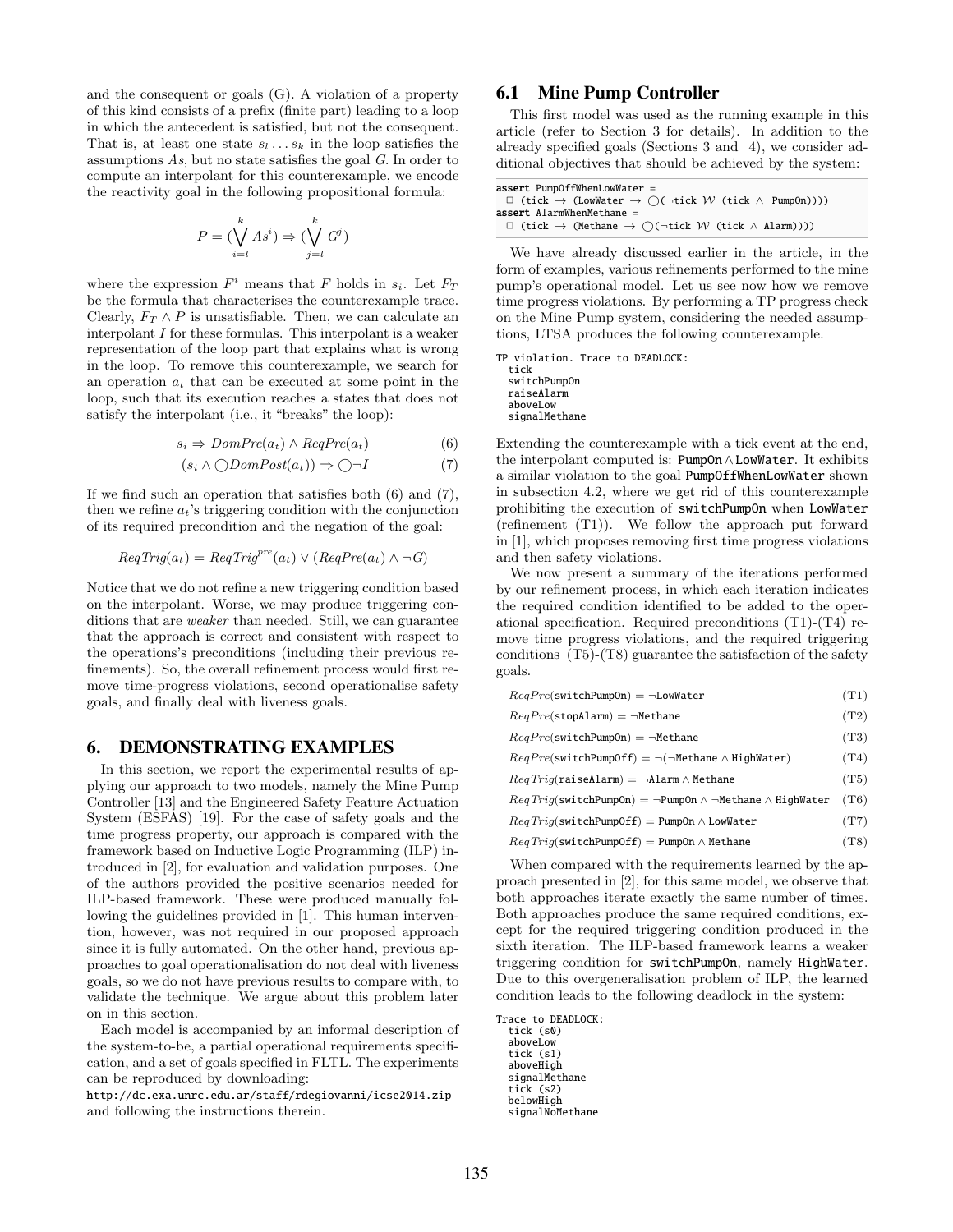and the consequent or goals (G). A violation of a property of this kind consists of a prefix (finite part) leading to a loop in which the antecedent is satisfied, but not the consequent. That is, at least one state  $s_l \dots s_k$  in the loop satisfies the assumptions As, but no state satisfies the goal G. In order to compute an interpolant for this counterexample, we encode the reactivity goal in the following propositional formula:

$$
P = (\bigvee_{i=l}^{k} As^{i}) \Rightarrow (\bigvee_{j=l}^{k} G^{j})
$$

where the expression  $F^i$  means that F holds in  $s_i$ . Let  $F_T$ be the formula that characterises the counterexample trace. Clearly,  $F_T \wedge P$  is unsatisfiable. Then, we can calculate an interpolant I for these formulas. This interpolant is a weaker representation of the loop part that explains what is wrong in the loop. To remove this counterexample, we search for an operation  $a_t$  that can be executed at some point in the loop, such that its execution reaches a states that does not satisfy the interpolant (i.e., it "breaks" the loop):

$$
s_i \Rightarrow DomPre(a_t) \land RegPre(a_t) \tag{6}
$$

$$
(s_i \land \bigcirc DomPost(a_t)) \Rightarrow \bigcirc \neg I \tag{7}
$$

If we find such an operation that satisfies both (6) and (7), then we refine  $a_t$ 's triggering condition with the conjunction of its required precondition and the negation of the goal:

$$
RegTrig(a_t) = RegTrig^{pre}(a_t) \vee (RegPre(a_t) \wedge \neg G)
$$

Notice that we do not refine a new triggering condition based on the interpolant. Worse, we may produce triggering conditions that are weaker than needed. Still, we can guarantee that the approach is correct and consistent with respect to the operations's preconditions (including their previous refinements). So, the overall refinement process would first remove time-progress violations, second operationalise safety goals, and finally deal with liveness goals.

### 6. DEMONSTRATING EXAMPLES

In this section, we report the experimental results of applying our approach to two models, namely the Mine Pump Controller [13] and the Engineered Safety Feature Actuation System (ESFAS) [19]. For the case of safety goals and the time progress property, our approach is compared with the framework based on Inductive Logic Programming (ILP) introduced in [2], for evaluation and validation purposes. One of the authors provided the positive scenarios needed for ILP-based framework. These were produced manually following the guidelines provided in [1]. This human intervention, however, was not required in our proposed approach since it is fully automated. On the other hand, previous approaches to goal operationalisation do not deal with liveness goals, so we do not have previous results to compare with, to validate the technique. We argue about this problem later on in this section.

Each model is accompanied by an informal description of the system-to-be, a partial operational requirements specification, and a set of goals specified in FLTL. The experiments can be reproduced by downloading:

http://dc.exa.unrc.edu.ar/staff/rdegiovanni/icse2014.zip and following the instructions therein.

### 6.1 Mine Pump Controller

This first model was used as the running example in this article (refer to Section 3 for details). In addition to the already specified goals (Sections 3 and 4), we consider additional objectives that should be achieved by the system:

| <b>assert</b> PumpOffWhenLowWater =                                                                            |
|----------------------------------------------------------------------------------------------------------------|
| $\Box$ (tick $\rightarrow$ (LowWater $\rightarrow$ $\bigcap$ (-tick $\mathcal W$ (tick $\land \neg$ PumpOn)))) |
| <b>assert</b> AlarmWhenMethane =                                                                               |
| □ (tick $\rightarrow$ (Methane $\rightarrow$ $\cap$ (¬tick $\mathcal W$ (tick $\land$ Alarm))))                |

We have already discussed earlier in the article, in the form of examples, various refinements performed to the mine pump's operational model. Let us see now how we remove time progress violations. By performing a TP progress check on the Mine Pump system, considering the needed assumptions, LTSA produces the following counterexample.

TP violation. Trace to DEADLOCK: tick switchPumpOn raiseAlarm aboveLow signalMethane

Extending the counterexample with a tick event at the end, the interpolant computed is: PumpOn∧LowWater. It exhibits a similar violation to the goal PumpOffWhenLowWater shown in subsection 4.2, where we get rid of this counterexample prohibiting the execution of switchPumpOn when LowWater (refinement (T1)). We follow the approach put forward in [1], which proposes removing first time progress violations and then safety violations.

We now present a summary of the iterations performed by our refinement process, in which each iteration indicates the required condition identified to be added to the operational specification. Required preconditions (T1)-(T4) remove time progress violations, and the required triggering conditions (T5)-(T8) guarantee the satisfaction of the safety goals.

| $RegPre(\text{switchPumpOn}) = \neg \text{LowWater}$                             | (T1) |
|----------------------------------------------------------------------------------|------|
| $RegPre(\texttt{stopHam}) = \neg \texttt{Method}$                                | (T2) |
| $RegPre(\text{switchPumpOn}) = \neg \text{Method}$                               | (T3) |
| $RegPre(\text{switchPumpOff}) = \neg(\neg \text{Method} \land \text{HighWater})$ | (T4) |
| $RegTriq(\texttt{raiseAlarm}) = \neg \texttt{Alarm} \wedge \texttt{Method}$      | (T5) |
| $RegTriq(swithPumpOn) = \neg PumpOn \wedge \neg Methane \wedge HighWater$        | (T6) |
| $RegTriq(swithPumpOff) = PumpOn \wedge LowWater$                                 | (T7) |
| $RegTriq(swithPumpOff) = PumpOn \wedge Methane$                                  | (T8) |
|                                                                                  |      |

When compared with the requirements learned by the approach presented in [2], for this same model, we observe that both approaches iterate exactly the same number of times. Both approaches produce the same required conditions, except for the required triggering condition produced in the sixth iteration. The ILP-based framework learns a weaker triggering condition for switchPumpOn, namely HighWater. Due to this overgeneralisation problem of ILP, the learned condition leads to the following deadlock in the system:

Trace to DEADLOCK: tick (s0) aboveLow tick (s1) aboveHigh signalMethane tick (s2) belowHigh signalNoMethane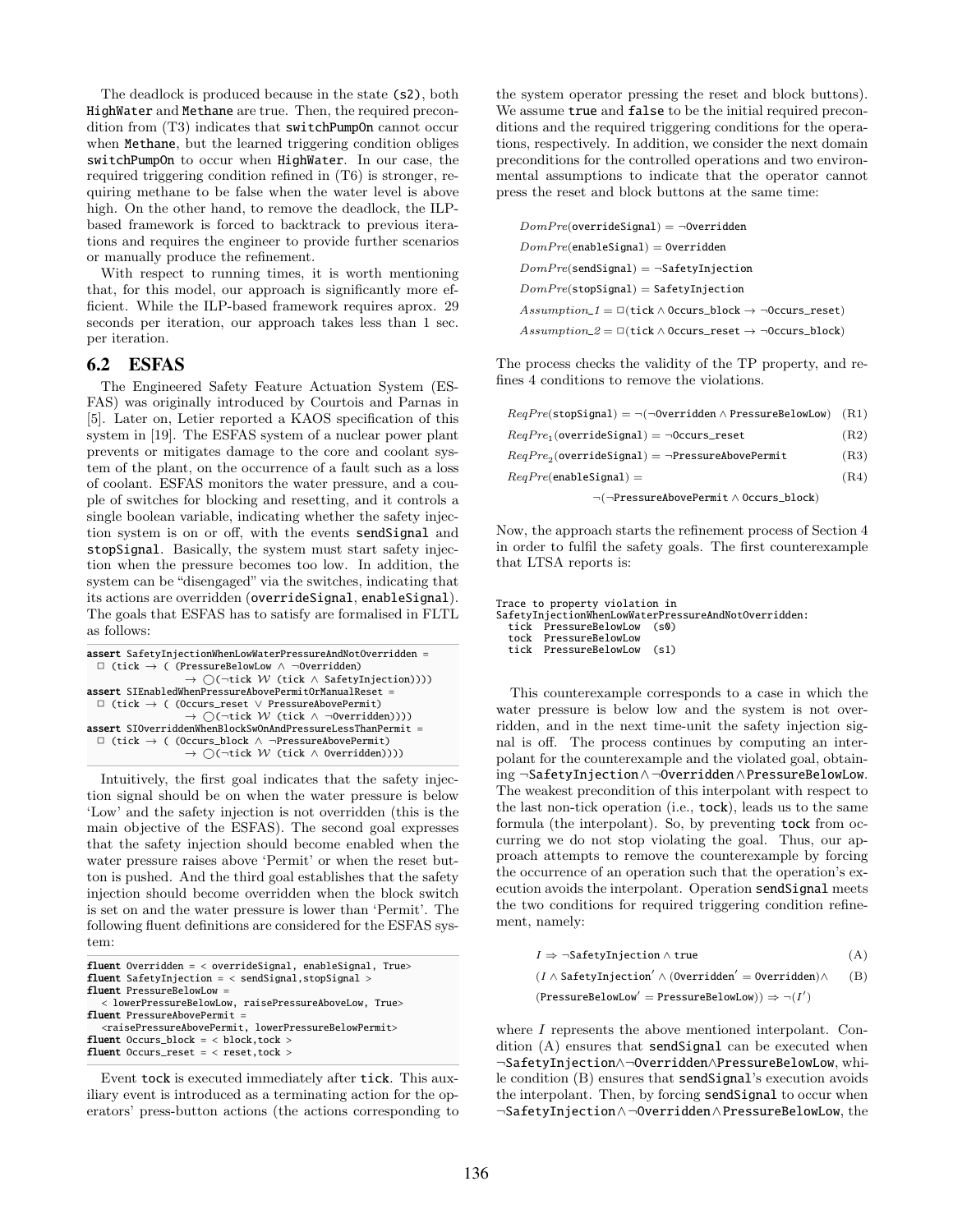The deadlock is produced because in the state (s2), both HighWater and Methane are true. Then, the required precondition from (T3) indicates that switchPumpOn cannot occur when Methane, but the learned triggering condition obliges switchPumpOn to occur when HighWater. In our case, the required triggering condition refined in (T6) is stronger, requiring methane to be false when the water level is above high. On the other hand, to remove the deadlock, the ILPbased framework is forced to backtrack to previous iterations and requires the engineer to provide further scenarios or manually produce the refinement.

With respect to running times, it is worth mentioning that, for this model, our approach is significantly more efficient. While the ILP-based framework requires aprox. 29 seconds per iteration, our approach takes less than 1 sec. per iteration.

#### 6.2 ESFAS

The Engineered Safety Feature Actuation System (ES-FAS) was originally introduced by Courtois and Parnas in [5]. Later on, Letier reported a KAOS specification of this system in [19]. The ESFAS system of a nuclear power plant prevents or mitigates damage to the core and coolant system of the plant, on the occurrence of a fault such as a loss of coolant. ESFAS monitors the water pressure, and a couple of switches for blocking and resetting, and it controls a single boolean variable, indicating whether the safety injection system is on or off, with the events sendSignal and stopSignal. Basically, the system must start safety injection when the pressure becomes too low. In addition, the system can be "disengaged" via the switches, indicating that its actions are overridden (overrideSignal, enableSignal). The goals that ESFAS has to satisfy are formalised in FLTL as follows:

```
assert SafetyInjectionWhenLowWaterPressureAndNotOverridden =
 ✷ (tick → ( (PressureBelowLow ∧ ¬Overridden)
                   → 
(¬tick W (tick ∧ SafetyInjection))))
assert SIEnabledWhenPressureAbovePermitOrManualReset =
 ✷ (tick → ( (Occurs_reset ∨ PressureAbovePermit)
                   \rightarrow \bigcirc(\negtick W (tick \land \negOverridden))))
assert SIOverriddenWhenBlockSwOnAndPressureLessThanPermit =
  ✷ (tick → ( (Occurs_block ∧ ¬PressureAbovePermit)
→ 
(¬tick W (tick ∧ Overridden))))
```
Intuitively, the first goal indicates that the safety injection signal should be on when the water pressure is below 'Low' and the safety injection is not overridden (this is the main objective of the ESFAS). The second goal expresses that the safety injection should become enabled when the water pressure raises above 'Permit' or when the reset button is pushed. And the third goal establishes that the safety injection should become overridden when the block switch is set on and the water pressure is lower than 'Permit'. The following fluent definitions are considered for the ESFAS system:

```
fluent Overridden = < overrideSignal, enableSignal, True>
fluent SafetyInjection = < sendSignal, stopSignal >
fluent PressureBelowLow =
   < lowerPressureBelowLow, raisePressureAboveLow, True>
fluent PressureAbovePermit =
   <raisePressureAbovePermit, lowerPressureBelowPermit>
fluent Occurs block = \langle block,tock \ranglefluent Occurs reset = \langle reset,tock \rangle
```
Event tock is executed immediately after tick. This auxiliary event is introduced as a terminating action for the operators' press-button actions (the actions corresponding to the system operator pressing the reset and block buttons). We assume true and false to be the initial required preconditions and the required triggering conditions for the operations, respectively. In addition, we consider the next domain preconditions for the controlled operations and two environmental assumptions to indicate that the operator cannot press the reset and block buttons at the same time:

 $DomPre(overriedeSignal) = \neg Overridden$  $DomPre$ (enableSignal) = Overridden  $DomPre(\text{sendSignal}) = \neg \text{SafetyInjection}$  $DomPre(\text{stopSignal}) = \text{SafetyInjection}$  $Assumption\_1 = \Box(tick \land 0ccurs\_block \rightarrow \neg 0ccurs\_reset)$  $\label{eq:assumption2} Assumption \textit{2} = \Box(\text{tick} \land \text{Occurs\_reset} \rightarrow \neg \text{Occurs\_block})$ 

The process checks the validity of the TP property, and refines 4 conditions to remove the violations.

| $RegPre(\text{stopSignal}) = \neg(\neg \text{Overridden} \land \text{PressureBelowLow})$ (R1) |      |
|-----------------------------------------------------------------------------------------------|------|
| $RegPre_1$ (overrideSignal) = $\neg$ Occurs_reset                                             | (R2) |
| $RegPre2(overriedeSignal) = \neg PressureAbovePermit$                                         | (R3) |
| $ReqPre(enableSignal) =$                                                                      | (R4) |
| $\neg(\neg \text{Press} \text{ureAbovePermit} \land \text{Occurs\_block})$                    |      |

Now, the approach starts the refinement process of Section 4 in order to fulfil the safety goals. The first counterexample that LTSA reports is:

```
Trace to property violation in
SafetyInjectionWhenLowWaterPressureAndNotOverridden:
  tick PressureBelowLow<br>tock PressureBelowLow
         PressureBelowLow
  tick PressureBelowLow (s1)
```
This counterexample corresponds to a case in which the water pressure is below low and the system is not overridden, and in the next time-unit the safety injection signal is off. The process continues by computing an interpolant for the counterexample and the violated goal, obtaining ¬SafetyInjection∧¬Overridden∧PressureBelowLow. The weakest precondition of this interpolant with respect to the last non-tick operation (i.e., tock), leads us to the same formula (the interpolant). So, by preventing tock from occurring we do not stop violating the goal. Thus, our approach attempts to remove the counterexample by forcing the occurrence of an operation such that the operation's execution avoids the interpolant. Operation sendSignal meets the two conditions for required triggering condition refinement, namely:

$$
I \Rightarrow \neg \mathsf{SafetyInjection} \land \mathsf{true} \tag{A}
$$

 $(I \wedge$  SafetyInjection'  $\wedge$  (Overridden' = Overridden) $\wedge$  (B)

 $(PressureBelowLow' = PressureBelowLow)) \Rightarrow \neg(I')$ 

where I represents the above mentioned interpolant. Condition (A) ensures that sendSignal can be executed when ¬SafetyInjection∧¬Overridden∧PressureBelowLow, while condition (B) ensures that sendSignal's execution avoids the interpolant. Then, by forcing sendSignal to occur when ¬SafetyInjection∧¬Overridden∧PressureBelowLow, the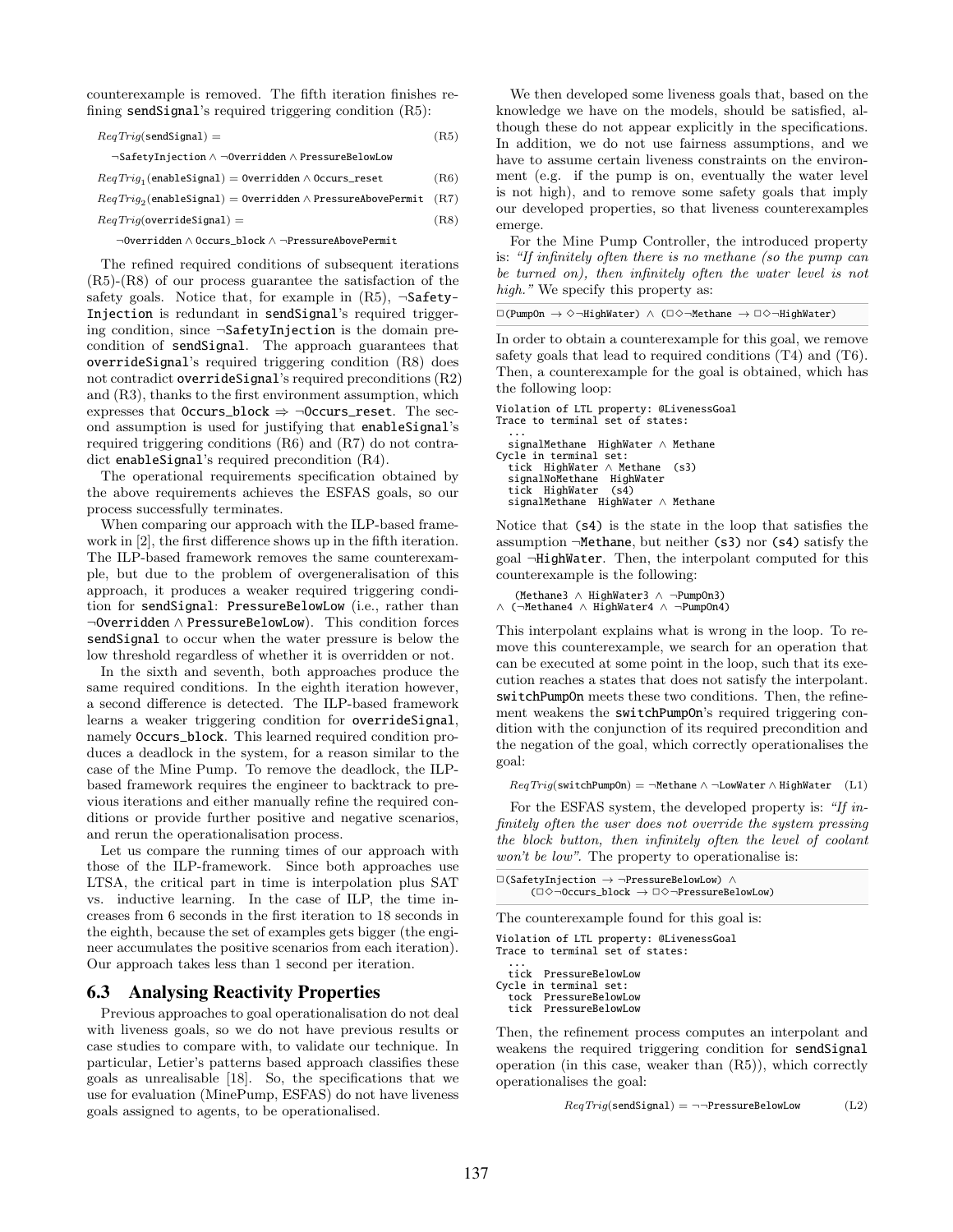counterexample is removed. The fifth iteration finishes refining sendSignal's required triggering condition (R5):

| $(\mathrm{R}5)$<br>$RegTrig(sendSignal) =$ |  |  |  |
|--------------------------------------------|--|--|--|
|--------------------------------------------|--|--|--|

¬SafetyInjection ∧ ¬Overridden ∧ PressureBelowLow

 $\mathit{ReqTrig}_1(\text{enableSignal}) = \text{Overridden} \land \text{Occurs\_reset}$  (R6)  $\mathit{ReqTrig}_2(\text{enableSignal}) = \text{Overridden} \land \text{PressureAbovePermit} \quad (\text{R7})$ 

 $RegTrig(overried$   $) =$  (R8)

¬Overridden ∧ Occurs\_block ∧ ¬PressureAbovePermit

The refined required conditions of subsequent iterations (R5)-(R8) of our process guarantee the satisfaction of the safety goals. Notice that, for example in  $(R5)$ ,  $\neg$ Safety-Injection is redundant in sendSignal's required triggering condition, since ¬SafetyInjection is the domain precondition of sendSignal. The approach guarantees that overrideSignal's required triggering condition (R8) does not contradict overrideSignal's required preconditions (R2) and (R3), thanks to the first environment assumption, which expresses that  $0ccurs_block \Rightarrow \neg 0ccurs_rreset.$  The second assumption is used for justifying that enableSignal's required triggering conditions (R6) and (R7) do not contradict enableSignal's required precondition (R4).

The operational requirements specification obtained by the above requirements achieves the ESFAS goals, so our process successfully terminates.

When comparing our approach with the ILP-based framework in [2], the first difference shows up in the fifth iteration. The ILP-based framework removes the same counterexample, but due to the problem of overgeneralisation of this approach, it produces a weaker required triggering condition for sendSignal: PressureBelowLow (i.e., rather than ¬Overridden ∧ PressureBelowLow). This condition forces sendSignal to occur when the water pressure is below the low threshold regardless of whether it is overridden or not.

In the sixth and seventh, both approaches produce the same required conditions. In the eighth iteration however, a second difference is detected. The ILP-based framework learns a weaker triggering condition for overrideSignal, namely Occurs\_block. This learned required condition produces a deadlock in the system, for a reason similar to the case of the Mine Pump. To remove the deadlock, the ILPbased framework requires the engineer to backtrack to previous iterations and either manually refine the required conditions or provide further positive and negative scenarios, and rerun the operationalisation process.

Let us compare the running times of our approach with those of the ILP-framework. Since both approaches use LTSA, the critical part in time is interpolation plus SAT vs. inductive learning. In the case of ILP, the time increases from 6 seconds in the first iteration to 18 seconds in the eighth, because the set of examples gets bigger (the engineer accumulates the positive scenarios from each iteration). Our approach takes less than 1 second per iteration.

### 6.3 Analysing Reactivity Properties

Previous approaches to goal operationalisation do not deal with liveness goals, so we do not have previous results or case studies to compare with, to validate our technique. In particular, Letier's patterns based approach classifies these goals as unrealisable [18]. So, the specifications that we use for evaluation (MinePump, ESFAS) do not have liveness goals assigned to agents, to be operationalised.

We then developed some liveness goals that, based on the knowledge we have on the models, should be satisfied, although these do not appear explicitly in the specifications. In addition, we do not use fairness assumptions, and we have to assume certain liveness constraints on the environment (e.g. if the pump is on, eventually the water level is not high), and to remove some safety goals that imply our developed properties, so that liveness counterexamples emerge.

For the Mine Pump Controller, the introduced property is: "If infinitely often there is no methane (so the pump can be turned on), then infinitely often the water level is not high." We specify this property as:

| $\Box$ (PumpOn $\rightarrow$ $\diamondsuit$ ¬HighWater) $\land$ ( $\Box \diamondsuit$ ¬Methane $\rightarrow$ $\Box \diamondsuit$ ¬HighWater) $\Box$ |  |
|-----------------------------------------------------------------------------------------------------------------------------------------------------|--|
|-----------------------------------------------------------------------------------------------------------------------------------------------------|--|

In order to obtain a counterexample for this goal, we remove safety goals that lead to required conditions (T4) and (T6). Then, a counterexample for the goal is obtained, which has the following loop:

```
Violation of LTL property: @LivenessGoal
Trace to terminal set of states:
  ...
signalMethane HighWater ∧ Methane
Cycle in terminal set:
  tick HighWater ∧ Methane (s3)
  signalNoMethane HighWater
  tick HighWater (s4)
  signalMethane HighWater ∧ Methane
```
Notice that (s4) is the state in the loop that satisfies the assumption ¬Methane, but neither (s3) nor (s4) satisfy the goal ¬HighWater. Then, the interpolant computed for this counterexample is the following:

```
(Methane3 ∧ HighWater3 ∧ ¬PumpOn3)
∧ (¬Methane4 ∧ HighWater4 ∧ ¬PumpOn4)
```
This interpolant explains what is wrong in the loop. To remove this counterexample, we search for an operation that can be executed at some point in the loop, such that its execution reaches a states that does not satisfy the interpolant. switchPumpOn meets these two conditions. Then, the refinement weakens the **switchPumpOn**'s required triggering condition with the conjunction of its required precondition and the negation of the goal, which correctly operationalises the goal:

 $RegTriq(swithPumpOn) = \neg Methane \land \neg LowWater \land HighWater (L1)$ 

For the ESFAS system, the developed property is: "If infinitely often the user does not override the system pressing the block button, then infinitely often the level of coolant won't be low". The property to operationalise is:

| $\Box$ (SafetyInjection $\rightarrow \neg$ PressureBelowLow) $\land$<br>$(\Box \Diamond \neg \text{Occurs\_block} \rightarrow \Box \Diamond \neg \text{PressureBelowLow})$ |
|----------------------------------------------------------------------------------------------------------------------------------------------------------------------------|
| The counterexample found for this goal is:                                                                                                                                 |
| Violation of LTL property: @LivenessGoal<br>Trace to terminal set of states:                                                                                               |

```
...
tick PressureBelowLow
Cycle in terminal set:
  tock PressureBelowLow
```
tick PressureBelowLow

Then, the refinement process computes an interpolant and weakens the required triggering condition for sendSignal operation (in this case, weaker than (R5)), which correctly operationalises the goal:

```
RegTrig(sendSignal) = \neg\neg \text{PressureBelowLow} (L2)
```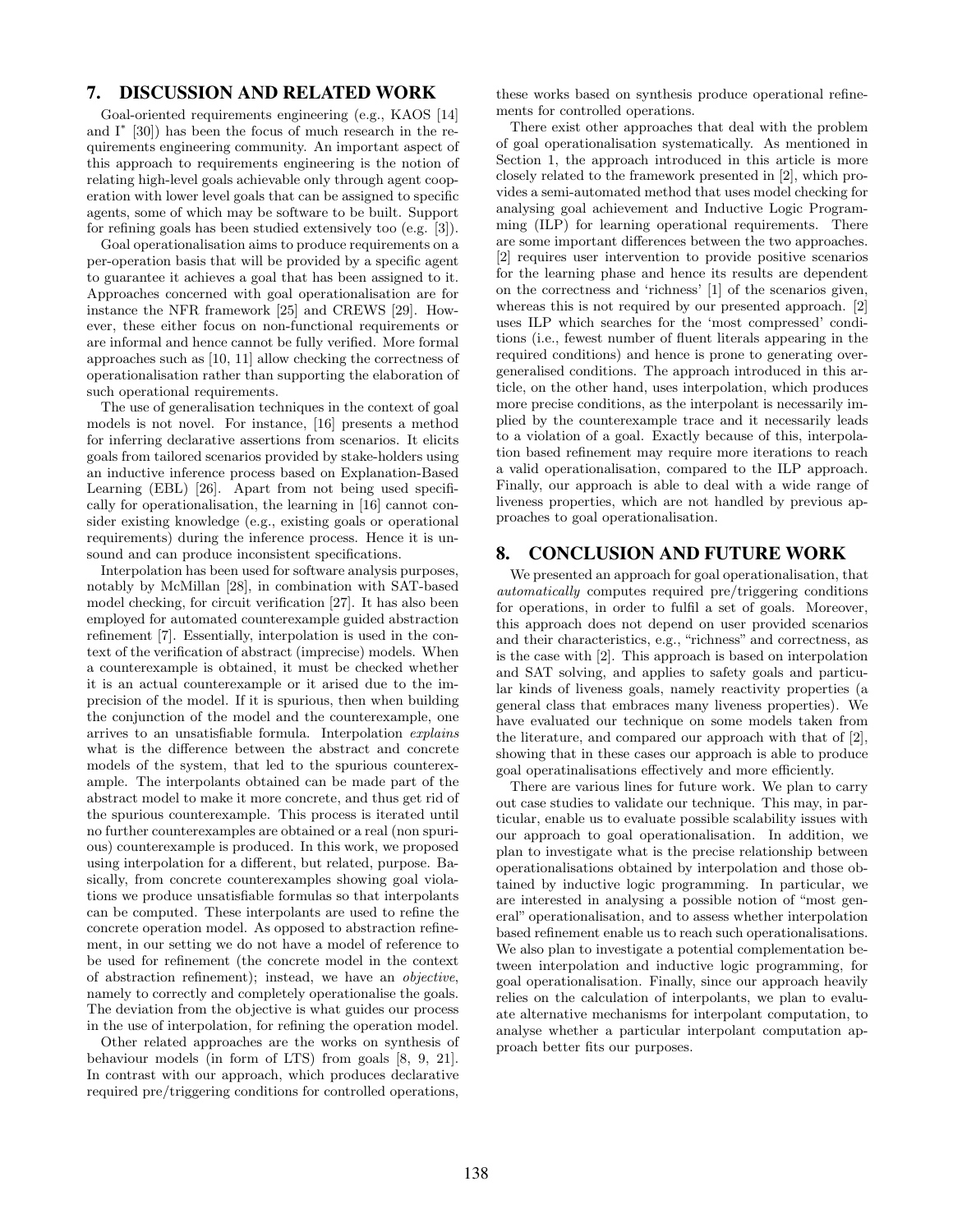# 7. DISCUSSION AND RELATED WORK

Goal-oriented requirements engineering (e.g., KAOS [14] and I<sup>∗</sup> [30]) has been the focus of much research in the requirements engineering community. An important aspect of this approach to requirements engineering is the notion of relating high-level goals achievable only through agent cooperation with lower level goals that can be assigned to specific agents, some of which may be software to be built. Support for refining goals has been studied extensively too (e.g. [3]).

Goal operationalisation aims to produce requirements on a per-operation basis that will be provided by a specific agent to guarantee it achieves a goal that has been assigned to it. Approaches concerned with goal operationalisation are for instance the NFR framework [25] and CREWS [29]. However, these either focus on non-functional requirements or are informal and hence cannot be fully verified. More formal approaches such as [10, 11] allow checking the correctness of operationalisation rather than supporting the elaboration of such operational requirements.

The use of generalisation techniques in the context of goal models is not novel. For instance, [16] presents a method for inferring declarative assertions from scenarios. It elicits goals from tailored scenarios provided by stake-holders using an inductive inference process based on Explanation-Based Learning (EBL) [26]. Apart from not being used specifically for operationalisation, the learning in [16] cannot consider existing knowledge (e.g., existing goals or operational requirements) during the inference process. Hence it is unsound and can produce inconsistent specifications.

Interpolation has been used for software analysis purposes, notably by McMillan [28], in combination with SAT-based model checking, for circuit verification [27]. It has also been employed for automated counterexample guided abstraction refinement [7]. Essentially, interpolation is used in the context of the verification of abstract (imprecise) models. When a counterexample is obtained, it must be checked whether it is an actual counterexample or it arised due to the imprecision of the model. If it is spurious, then when building the conjunction of the model and the counterexample, one arrives to an unsatisfiable formula. Interpolation explains what is the difference between the abstract and concrete models of the system, that led to the spurious counterexample. The interpolants obtained can be made part of the abstract model to make it more concrete, and thus get rid of the spurious counterexample. This process is iterated until no further counterexamples are obtained or a real (non spurious) counterexample is produced. In this work, we proposed using interpolation for a different, but related, purpose. Basically, from concrete counterexamples showing goal violations we produce unsatisfiable formulas so that interpolants can be computed. These interpolants are used to refine the concrete operation model. As opposed to abstraction refinement, in our setting we do not have a model of reference to be used for refinement (the concrete model in the context of abstraction refinement); instead, we have an objective, namely to correctly and completely operationalise the goals. The deviation from the objective is what guides our process in the use of interpolation, for refining the operation model.

Other related approaches are the works on synthesis of behaviour models (in form of LTS) from goals [8, 9, 21]. In contrast with our approach, which produces declarative required pre/triggering conditions for controlled operations,

these works based on synthesis produce operational refinements for controlled operations.

There exist other approaches that deal with the problem of goal operationalisation systematically. As mentioned in Section 1, the approach introduced in this article is more closely related to the framework presented in [2], which provides a semi-automated method that uses model checking for analysing goal achievement and Inductive Logic Programming (ILP) for learning operational requirements. There are some important differences between the two approaches. [2] requires user intervention to provide positive scenarios for the learning phase and hence its results are dependent on the correctness and 'richness' [1] of the scenarios given, whereas this is not required by our presented approach. [2] uses ILP which searches for the 'most compressed' conditions (i.e., fewest number of fluent literals appearing in the required conditions) and hence is prone to generating overgeneralised conditions. The approach introduced in this article, on the other hand, uses interpolation, which produces more precise conditions, as the interpolant is necessarily implied by the counterexample trace and it necessarily leads to a violation of a goal. Exactly because of this, interpolation based refinement may require more iterations to reach a valid operationalisation, compared to the ILP approach. Finally, our approach is able to deal with a wide range of liveness properties, which are not handled by previous approaches to goal operationalisation.

## 8. CONCLUSION AND FUTURE WORK

We presented an approach for goal operationalisation, that automatically computes required pre/triggering conditions for operations, in order to fulfil a set of goals. Moreover, this approach does not depend on user provided scenarios and their characteristics, e.g., "richness" and correctness, as is the case with [2]. This approach is based on interpolation and SAT solving, and applies to safety goals and particular kinds of liveness goals, namely reactivity properties (a general class that embraces many liveness properties). We have evaluated our technique on some models taken from the literature, and compared our approach with that of [2], showing that in these cases our approach is able to produce goal operatinalisations effectively and more efficiently.

There are various lines for future work. We plan to carry out case studies to validate our technique. This may, in particular, enable us to evaluate possible scalability issues with our approach to goal operationalisation. In addition, we plan to investigate what is the precise relationship between operationalisations obtained by interpolation and those obtained by inductive logic programming. In particular, we are interested in analysing a possible notion of "most general" operationalisation, and to assess whether interpolation based refinement enable us to reach such operationalisations. We also plan to investigate a potential complementation between interpolation and inductive logic programming, for goal operationalisation. Finally, since our approach heavily relies on the calculation of interpolants, we plan to evaluate alternative mechanisms for interpolant computation, to analyse whether a particular interpolant computation approach better fits our purposes.